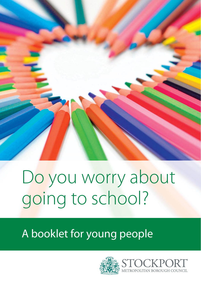

# Do you worry about going to school?

A booklet for young people

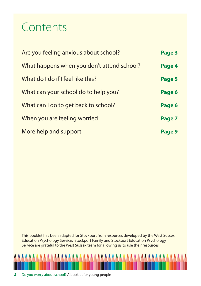### Contents

| Are you feeling anxious about school?      | Page 3 |
|--------------------------------------------|--------|
| What happens when you don't attend school? | Page 4 |
| What do I do if I feel like this?          | Page 5 |
| What can your school do to help you?       | Page 6 |
| What can I do to get back to school?       | Page 6 |
| When you are feeling worried               | Page 7 |
| More help and support                      | Page 9 |

This booklet has been adapted for Stockport from resources developed by the West Sussex Education Psychology Service. Stockport Family and Stockport Education Psychology Service are grateful to the West Sussex team for allowing us to use their resources.

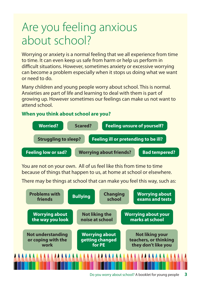### Are you feeling anxious about school?

Worrying or anxiety is a normal feeling that we all experience from time to time. It can even keep us safe from harm or help us perform in difficult situations. However, sometimes anxiety or excessive worrying can become a problem especially when it stops us doing what we want or need to do.

Many children and young people worry about school. This is normal. Anxieties are part of life and learning to deal with them is part of growing up. However sometimes our feelings can make us not want to attend school.

#### **When you think about school are you?**



You are not on your own. All of us feel like this from time to time because of things that happen to us, at home at school or elsewhere.

There may be things at school that can make you feel this way, such as:

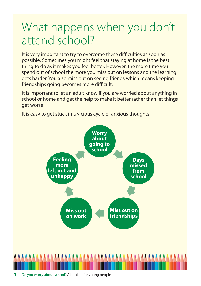### What happens when you don't attend school?

It is very important to try to overcome these difficulties as soon as possible. Sometimes you might feel that staying at home is the best thing to do as it makes you feel better. However, the more time you spend out of school the more you miss out on lessons and the learning gets harder. You also miss out on seeing friends which means keeping friendships going becomes more difficult.

It is important to let an adult know if you are worried about anything in school or home and get the help to make it better rather than let things get worse.

It is easy to get stuck in a vicious cycle of anxious thoughts:

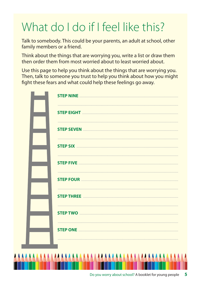# What do I do if I feel like this?

Talk to somebody. This could be your parents, an adult at school, other family members or a friend.

Think about the things that are worrying you, write a list or draw them then order them from most worried about to least worried about.

Use this page to help you think about the things that are worrying you. Then, talk to someone you trust to help you think about how you might fight these fears and what could help these feelings go away.

| <b>STEP TWO</b> |
|-----------------|
|                 |
|                 |
| AAAA            |

г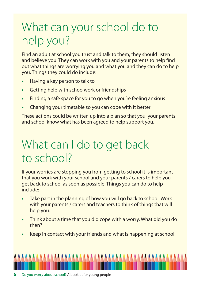### What can your school do to help you?

Find an adult at school you trust and talk to them, they should listen and believe you. They can work with you and your parents to help find out what things are worrying you and what you and they can do to help you. Things they could do include:

- **•** Having a key person to talk to
- **•** Getting help with schoolwork or friendships
- **•** Finding a safe space for you to go when you're feeling anxious
- **•** Changing your timetable so you can cope with it better

These actions could be written up into a plan so that you, your parents and school know what has been agreed to help support you.

### What can I do to get back to school?

If your worries are stopping you from getting to school it is important that you work with your school and your parents / carers to help you get back to school as soon as possible. Things you can do to help include:

- **•** Take part in the planning of how you will go back to school. Work with your parents / carers and teachers to think of things that will help you.
- **•** Think about a time that you did cope with a worry. What did you do then?
- **•** Keep in contact with your friends and what is happening at school.

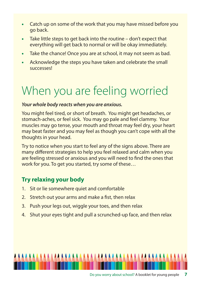- **•** Catch up on some of the work that you may have missed before you go back.
- **•** Take little steps to get back into the routine don't expect that everything will get back to normal or will be okay immediately.
- **•** Take the chance! Once you are at school, it may not seem as bad.
- **•** Acknowledge the steps you have taken and celebrate the small successes!

## When you are feeling worried

#### *Your whole body reacts when you are anxious.*

You might feel tired, or short of breath. You might get headaches, or stomach-aches, or feel sick. You may go pale and feel clammy. Your muscles may go tense, your mouth and throat may feel dry, your heart may beat faster and you may feel as though you can't cope with all the thoughts in your head.

Try to notice when you start to feel any of the signs above. There are many different strategies to help you feel relaxed and calm when you are feeling stressed or anxious and you will need to find the ones that work for you. To get you started, try some of these…

#### **Try relaxing your body**

- 1. Sit or lie somewhere quiet and comfortable
- 2. Stretch out your arms and make a fist, then relax
- 3. Push your legs out, wiggle your toes, and then relax
- 4. Shut your eyes tight and pull a scrunched-up face, and then relax

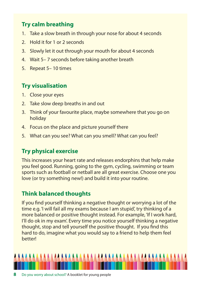#### **Try calm breathing**

- 1. Take a slow breath in through your nose for about 4 seconds
- 2. Hold it for 1 or 2 seconds
- 3. Slowly let it out through your mouth for about 4 seconds
- 4. Wait 5– 7 seconds before taking another breath
- 5. Repeat 5– 10 times

#### **Try visualisation**

- 1. Close your eyes
- 2. Take slow deep breaths in and out
- 3. Think of your favourite place, maybe somewhere that you go on holiday
- 4. Focus on the place and picture yourself there
- 5. What can you see? What can you smell? What can you feel?

#### **Try physical exercise**

This increases your heart rate and releases endorphins that help make you feel good. Running, going to the gym, cycling, swimming or team sports such as football or netball are all great exercise. Choose one you love (or try something new!) and build it into your routine.

#### **Think balanced thoughts**

If you find yourself thinking a negative thought or worrying a lot of the time e.g. 'I will fail all my exams because I am stupid', try thinking of a more balanced or positive thought instead. For example, 'If I work hard, I'll do ok in my exam'. Every time you notice yourself thinking a negative thought, stop and tell yourself the positive thought. If you find this hard to do, imagine what you would say to a friend to help them feel better!

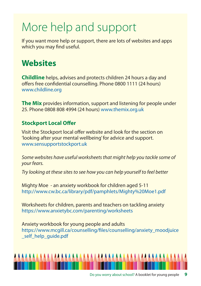## More help and support

If you want more help or support, there are lots of websites and apps which you may find useful.

### **Websites**

**Childline** helps, advises and protects children 24 hours a day and offers free confidential counselling. Phone 0800 1111 (24 hours) www.childline.org

**The Mix** provides information, support and listening for people under 25. Phone 0808 808 4994 (24 hours) www.themix.org.uk

#### **Stockport Local Offer**

Visit the Stockport local offer website and look for the section on 'looking after your mental wellbeing' for advice and support. www.sensupportstockport.uk

Some websites have useful worksheets that might help you tackle some of your fears.

Try looking at these sites to see how you can help yourself to feel better

Mighty Moe - an anxiety workbook for children aged 5-11 http://www.cw.bc.ca/library/pdf/pamphlets/Mighty%20Moe1.pdf

Worksheets for children, parents and teachers on tackling anxiety https://www.anxietybc.com/parenting/worksheets

Anxiety workbook for young people and adults https://www.mcgill.ca/counselling/files/counselling/anxiety\_moodjuice self help quide.pdf

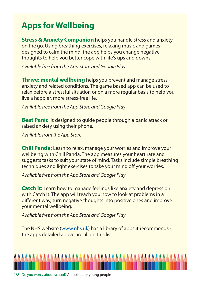### **Apps for Wellbeing**

**Stress & Anxiety Companion** helps you handle stress and anxiety on the go. Using breathing exercises, relaxing music and games designed to calm the mind, the app helps you change negative thoughts to help you better cope with life's ups and downs.

Available free from the App Store and Google Play

**Thrive: mental wellbeing** helps you prevent and manage stress, anxiety and related conditions. The game based app can be used to relax before a stressful situation or on a more regular basis to help you live a happier, more stress-free life.

Available free from the App Store and Google Play

**Beat Panic** is designed to quide people through a panic attack or raised anxiety using their phone.

Available from the App Store

**Chill Panda:** Learn to relax, manage your worries and improve your wellbeing with Chill Panda. The app measures your heart rate and suggests tasks to suit your state of mind. Tasks include simple breathing techniques and light exercises to take your mind off your worries.

Available free from the App Store and Google Play

**Catch it:** Learn how to manage feelings like anxiety and depression with Catch It. The app will teach you how to look at problems in a different way, turn negative thoughts into positive ones and improve your mental wellbeing.

Available free from the App Store and Google Play

The NHS website (www.nhs.uk) has a library of apps it recommends the apps detailed above are all on this list.

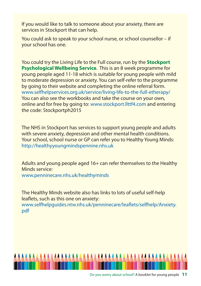If you would like to talk to someone about your anxiety, there are services in Stockport that can help.

You could ask to speak to your school nurse, or school counsellor – if your school has one.

You could try the Living Life to the Full course, run by the **Stockport Psychological Wellbeing Service**. This is an 8 week programme for young people aged 11-18 which is suitable for young people with mild to moderate depression or anxiety. You can self-refer to the programme by going to their website and completing the online referral form. www.selfhelpservices.org.uk/service/living-life-to-the-full-etherapy/ You can also see the workbooks and take the course on your own, online and for free by going to: www.stockport.llttf4.com and entering the code: Stockportph2015

The NHS in Stockport has services to support young people and adults with severe anxiety, depression and other mental health conditions. Your school, school nurse or GP can refer you to Healthy Young Minds: http://healthyyoungmindspennine.nhs.uk

Adults and young people aged 16+ can refer themselves to the Healthy Minds service: www.penninecare.nhs.uk/healthyminds

The Healthy Minds website also has links to lots of useful self-help leaflets, such as this one on anxiety: www.selfhelpguides.ntw.nhs.uk/penninecare/leaflets/selfhelp/Anxiety. pdf